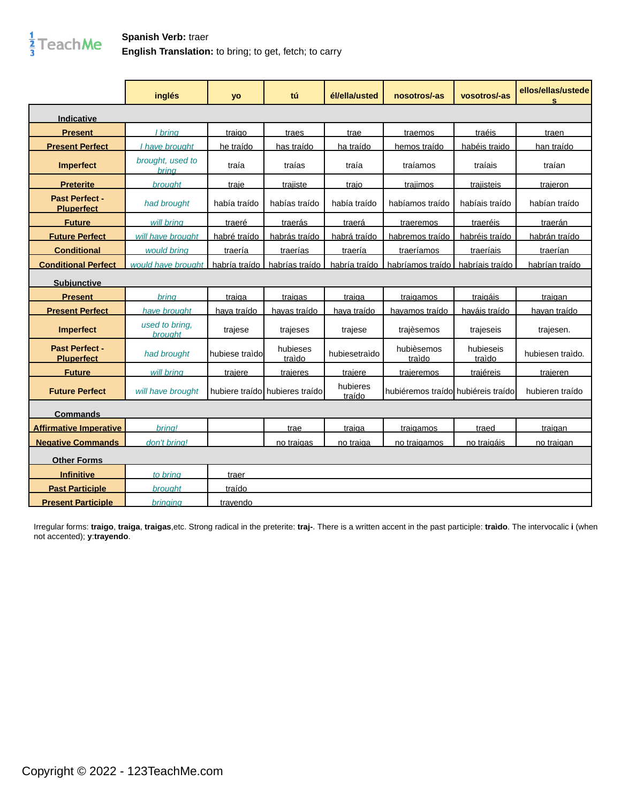

## **Spanish Verb: traer English Translation:** to bring; to get, fetch; to carry

|                                     | inglés                           | <b>yo</b>      | tú                             | él/ella/usted      | nosotros/-as                        | vosotros/-as        | ellos/ellas/ustede<br>s |
|-------------------------------------|----------------------------------|----------------|--------------------------------|--------------------|-------------------------------------|---------------------|-------------------------|
| <b>Indicative</b>                   |                                  |                |                                |                    |                                     |                     |                         |
| <b>Present</b>                      | I brina                          | traigo         | traes                          | trae               | traemos                             | traéis              | traen                   |
| <b>Present Perfect</b>              | have brought                     | he traído      | has traído                     | ha traído          | hemos traído                        | habéis traido       | han traído              |
| <b>Imperfect</b>                    | brought, used to<br><b>bring</b> | traía          | traías                         | traía              | traíamos                            | traíais             | traían                  |
| <b>Preterite</b>                    | <b>brought</b>                   | traie          | traiiste                       | traio              | trajimos                            | traiisteis          | trajeron                |
| Past Perfect -<br><b>Pluperfect</b> | had brought                      | había traído   | habías traído                  | había traído       | habíamos traído                     | habíais traído      | habían traído           |
| <b>Future</b>                       | will brina                       | traeré         | traerás                        | traerá             | traeremos                           | traeréis            | traerán                 |
| <b>Future Perfect</b>               | will have brought                | habré traído   | habrás traído                  | habrá traído       | habremos traído                     | habréis traído      | habrán traído           |
| <b>Conditional</b>                  | would bring                      | traería        | traerías                       | traería            | traeríamos                          | traeríais           | traerían                |
| <b>Conditional Perfect</b>          | would have brought               | habría traído  | habrías traído                 | habría traído      | habríamos traído                    | habríais traído     | habrían traído          |
| <b>Subjunctive</b>                  |                                  |                |                                |                    |                                     |                     |                         |
| <b>Present</b>                      | brina                            | traiga         | traigas                        | traiga             | traigamos                           | traigáis            | traigan                 |
| <b>Present Perfect</b>              | have brought                     | haya traído    | hayas traído                   | hava traído        | havamos traído                      | haváis traído       | hayan traído            |
| <b>Imperfect</b>                    | used to bring.<br><b>brought</b> | trajese        | trajeses                       | trajese            | trajèsemos                          | trajeseis           | trajesen.               |
| Past Perfect -<br><b>Pluperfect</b> | had brought                      | hubiese traido | hubieses<br>traìdo             | hubiesetraìdo      | hubièsemos<br>traido                | hubieseis<br>traìdo | hubiesen traido.        |
| <b>Future</b>                       | will bring                       | trajere        | trajeres                       | trajere            | trajeremos                          | <b>trajéreis</b>    | trajeren                |
| <b>Future Perfect</b>               | will have brought                |                | hubiere traído hubieres traído | hubieres<br>traído | hubiéremos traídol hubiéreis traído |                     | hubieren traído         |
| <b>Commands</b>                     |                                  |                |                                |                    |                                     |                     |                         |
| <b>Affirmative Imperative</b>       | brina!                           |                | trae                           | traiga             | traigamos                           | traed               | traigan                 |
| <b>Negative Commands</b>            | don't brina!                     |                | no traigas                     | no traiga          | <u>no traigamos</u>                 | no traigáis         | no traigan              |
| <b>Other Forms</b>                  |                                  |                |                                |                    |                                     |                     |                         |
| <b>Infinitive</b>                   | to bring                         | traer          |                                |                    |                                     |                     |                         |
| <b>Past Participle</b>              | brought                          | traído         |                                |                    |                                     |                     |                         |
| <b>Present Participle</b>           | <b>bringing</b>                  | trayendo       |                                |                    |                                     |                     |                         |

Irregular forms: **traigo**, **traiga**, **traigas**,etc. Strong radical in the preterite: **traj-**. There is a written accent in the past participle: **traìdo**. The intervocalic **i** (when not accented); **y**:**trayendo**.